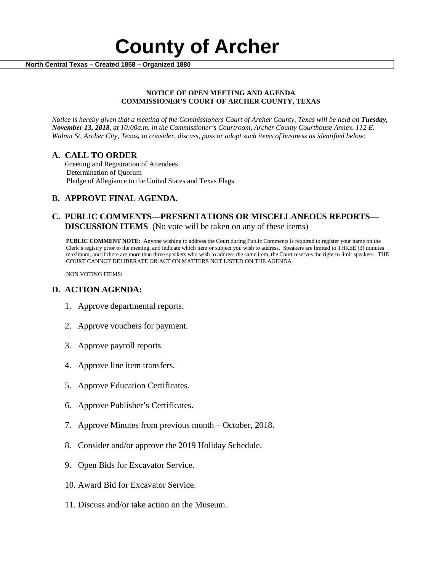

#### **NOTICE OF OPEN MEETING AND AGENDA COMMISSIONER'S COURT OF ARCHER COUNTY, TEXAS**

*Notice is hereby given that a meeting of the Commissioners Court of Archer County, Texas will be held on Tuesday, November 13, 2018, at 10:00a.m. in the Commissioner's Courtroom, Archer County Courthouse Annex, 112 E. Walnut St, Archer City, Texas, to consider, discuss, pass or adopt such items of business as identified below:*

**A. CALL TO ORDER** Greeting and Registration of Attendees Determination of Quorum Pledge of Allegiance to the United States and Texas Flags

# **B. APPROVE FINAL AGENDA.**

# **C. PUBLIC COMMENTS—PRESENTATIONS OR MISCELLANEOUS REPORTS— DISCUSSION ITEMS** (No vote will be taken on any of these items)

**PUBLIC COMMENT NOTE:** Anyone wishing to address the Court during Public Comments is required to register your name on the Clerk's registry prior to the meeting, and indicate which item or subject you wish to address. Speakers are limited to THREE (3) minutes maximum, and if there are more than three speakers who wish to address the same item, the Court reserves the right to limit speakers. THE COURT CANNOT DELIBERATE OR ACT ON MATTERS NOT LISTED ON THE AGENDA.

NON VOTING ITEMS:

### **D. ACTION AGENDA:**

- 1. Approve departmental reports.
- 2. Approve vouchers for payment.
- 3. Approve payroll reports
- 4. Approve line item transfers.
- 5. Approve Education Certificates.
- 6. Approve Publisher's Certificates.
- 7. Approve Minutes from previous month October, 2018.
- 8. Consider and/or approve the 2019 Holiday Schedule.
- 9. Open Bids for Excavator Service.
- 10. Award Bid for Excavator Service.
- 11. Discuss and/or take action on the Museum.